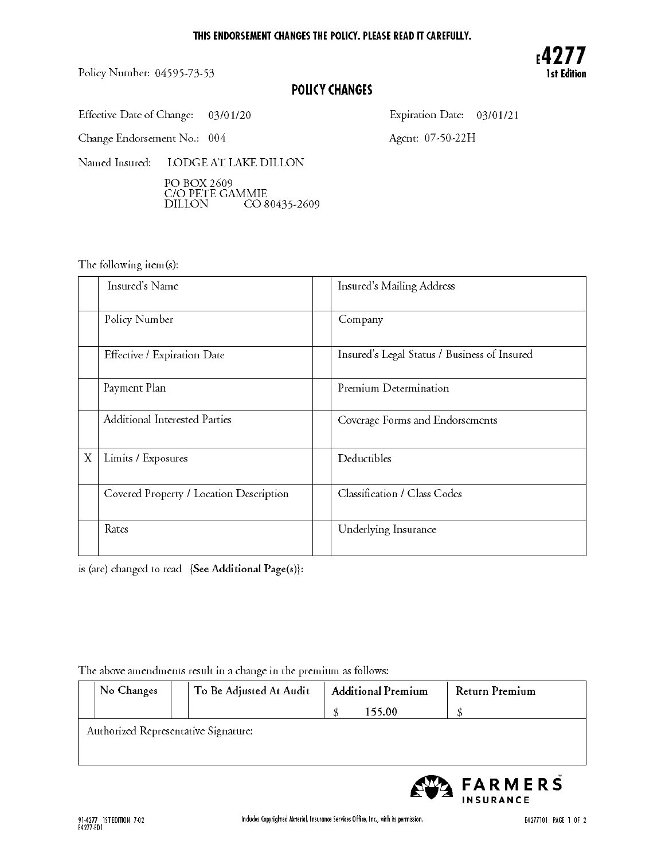Policy Number: 04595-73-53



# POLICY CHANGES

Effective Date of Change:  $03/01/20$ 

Expiration Date: 03/01/21

Change Endorsement No.: 004

Agent: 07-50-22H

Named Insured: LODGE AT LAKE DILLON

> - - - - - - - - *- ,* DILLON CO 80435-2609

The following item(s):

|   | Insured's Name                          | Insured's Mailing Address                    |
|---|-----------------------------------------|----------------------------------------------|
|   | Policy Number                           | Company                                      |
|   | Effective / Expiration Date             | Insured's Legal Status / Business of Insured |
|   | Payment Plan                            | Premium Determination                        |
|   | <b>Additional Interested Parties</b>    | Coverage Forms and Endorsements              |
| X | Limits / Exposures                      | Deductibles                                  |
|   | Covered Property / Location Description | Classification / Class Codes                 |
|   | Rates                                   | Underlying Insurance                         |

is (are) changed to read {See Additional Page(s)}:

## The above amendments result in <sup>a</sup> change in the premium as follows:

| No Changes                           |  | To Be Adjusted At Audit | <b>Additional Premium</b> |        | Return Premium |  |
|--------------------------------------|--|-------------------------|---------------------------|--------|----------------|--|
|                                      |  |                         |                           | 155.00 |                |  |
| Authorized Representative Signature: |  |                         |                           |        |                |  |
|                                      |  |                         |                           |        |                |  |
|                                      |  |                         |                           |        |                |  |

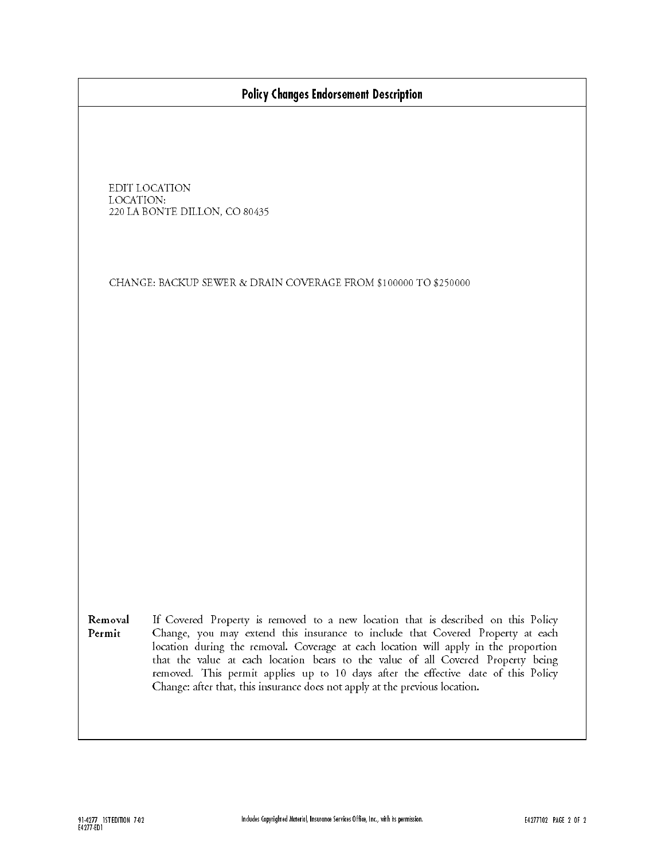|  | Policy Changes Endorsement Description |  |
|--|----------------------------------------|--|
|  |                                        |  |

| EDIT LOCATION                 |
|-------------------------------|
| LOCATION:                     |
| 220 LA BONTE DILLON, CO 80435 |

CHANGE: BACKUP SEWER & DRAIN COVERAGE FROM \$100000 TO \$250000

Removal If Covered Property is removed to <sup>a</sup> new location that is described on this Policy Permit Change, you may extend this insurance to include that Covered Property at each location during the removal. Coverage at each location will apply in the proportion that the value at each location bears to the value of all Covered Property being removed. This permit applies up to <sup>10</sup> days after the effective date of this Policy Change: after that, this insurance does not apply at the previous location.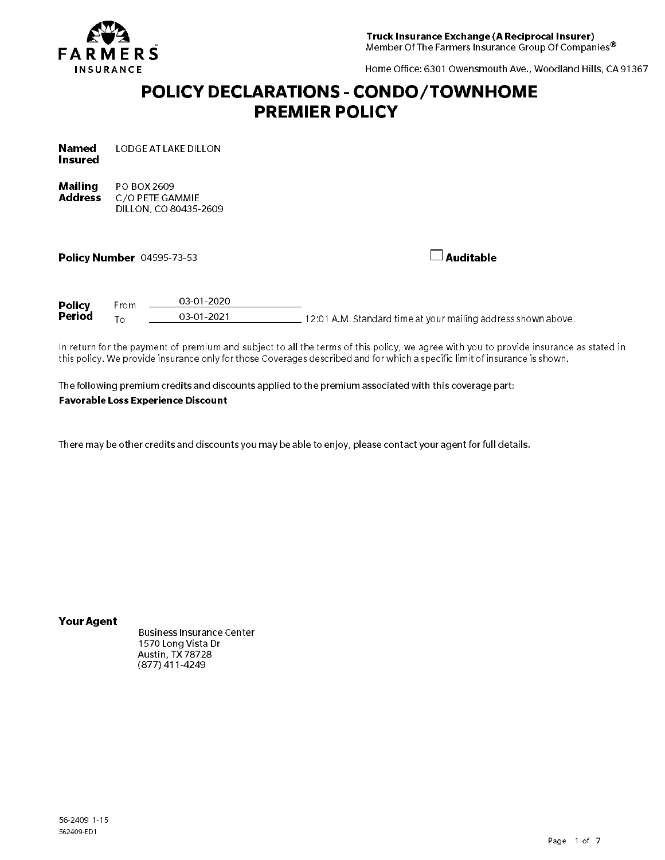

Home Office: <sup>6301</sup> Owensmouth Ave., Woodland Hills, CA <sup>91367</sup>

# POLICY DECLARATIONS - CONDO/TOWNHOME **PREMIER POLICY**

| <b>Named</b>   | LODGE AT LAKE DILLON |
|----------------|----------------------|
| <b>Insured</b> |                      |

Mailing **Address** PO BOX <sup>2609</sup> C/O PETE GAMMIE DILLON, CO 80435-2609

Policy Number Auditable 04595-73-53

| <b>Policy</b> | From            | 03-01-2020 |                                                               |
|---------------|-----------------|------------|---------------------------------------------------------------|
| Period        | $\tau_{\Omega}$ | 03-01-2021 | 12:01 A.M. Standard time at your mailing address shown above. |

In return for the payment of premium and subject to all the terms of this policy, we agree with you to provide insurance as stated in this policy. We provide insurance only for those Coverages described and for which <sup>a</sup> specific limit of insurance is shown.

The following premium credits and discounts applied to the premium associated with this coverage part: Favorable Loss Experience Discount

There may be other credits and discounts you may be able to enjoy, please contact your agent for full details.

Your Agent

Business Insurance Center <sup>1570</sup> Long Vista Dr Austin, TX <sup>78728</sup> (877) 411-4249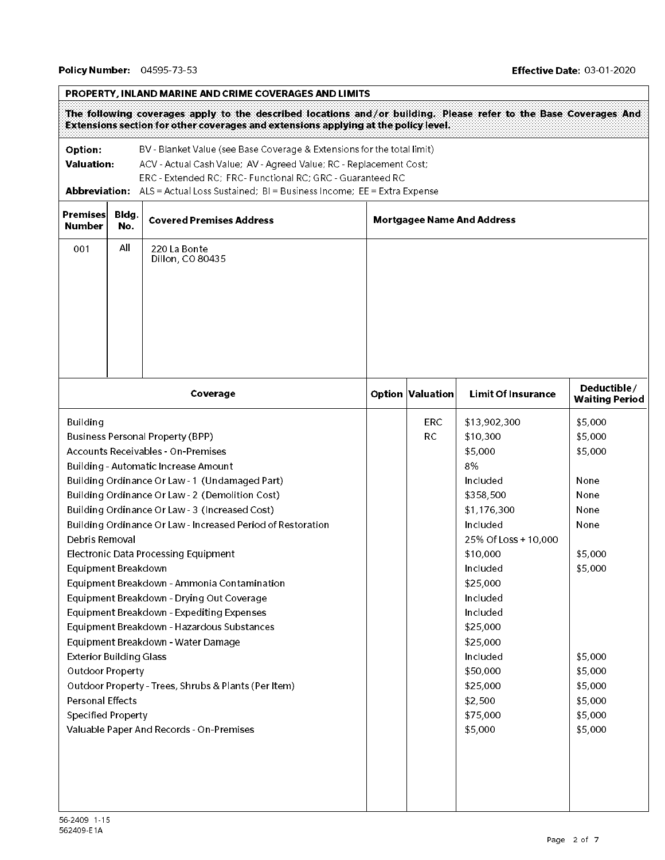$\overline{1}$ 

|                                                                                  | Option:<br>BV - Blanket Value (see Base Coverage & Extensions for the total limit)<br><b>Valuation:</b><br>ACV - Actual Cash Value; AV - Agreed Value; RC - Replacement Cost;<br>ERC - Extended RC; FRC- Functional RC; GRC - Guaranteed RC<br><b>Abbreviation:</b> ALS = Actual Loss Sustained; BI = Business Income; EE = Extra Expense |                                                             |  |                                   |                           |                                      |  |
|----------------------------------------------------------------------------------|-------------------------------------------------------------------------------------------------------------------------------------------------------------------------------------------------------------------------------------------------------------------------------------------------------------------------------------------|-------------------------------------------------------------|--|-----------------------------------|---------------------------|--------------------------------------|--|
| Premises<br>Bldg.<br><b>Covered Premises Address</b><br><b>Number</b><br>No.     |                                                                                                                                                                                                                                                                                                                                           |                                                             |  | <b>Mortgagee Name And Address</b> |                           |                                      |  |
| All<br>001<br>220 La Bonte<br>Dillon, CO 80435                                   |                                                                                                                                                                                                                                                                                                                                           |                                                             |  |                                   |                           |                                      |  |
|                                                                                  |                                                                                                                                                                                                                                                                                                                                           | Coverage                                                    |  | Option Valuation                  | <b>Limit Of Insurance</b> | Deductible/<br><b>Waiting Period</b> |  |
| <b>Building</b>                                                                  |                                                                                                                                                                                                                                                                                                                                           |                                                             |  | <b>ERC</b>                        | \$13,902,300              | \$5,000                              |  |
|                                                                                  |                                                                                                                                                                                                                                                                                                                                           | <b>Business Personal Property (BPP)</b>                     |  | <b>RC</b>                         | \$10,300                  | \$5,000                              |  |
|                                                                                  |                                                                                                                                                                                                                                                                                                                                           | <b>Accounts Receivables - On-Premises</b>                   |  |                                   | \$5,000                   | \$5,000                              |  |
|                                                                                  |                                                                                                                                                                                                                                                                                                                                           | Building - Automatic Increase Amount                        |  |                                   | 8%                        |                                      |  |
|                                                                                  |                                                                                                                                                                                                                                                                                                                                           | Building Ordinance Or Law - 1 (Undamaged Part)              |  |                                   | Included                  | None                                 |  |
|                                                                                  |                                                                                                                                                                                                                                                                                                                                           | Building Ordinance Or Law - 2 (Demolition Cost)             |  |                                   | \$358,500                 | None                                 |  |
|                                                                                  |                                                                                                                                                                                                                                                                                                                                           | Building Ordinance Or Law - 3 (Increased Cost)              |  |                                   | \$1,176,300               | None                                 |  |
|                                                                                  |                                                                                                                                                                                                                                                                                                                                           | Building Ordinance Or Law - Increased Period of Restoration |  |                                   | Included                  | None                                 |  |
| Debris Removal                                                                   |                                                                                                                                                                                                                                                                                                                                           |                                                             |  |                                   | 25% Of Loss + 10,000      |                                      |  |
|                                                                                  |                                                                                                                                                                                                                                                                                                                                           | <b>Electronic Data Processing Equipment</b>                 |  |                                   | \$10,000                  | \$5,000                              |  |
| Equipment Breakdown                                                              |                                                                                                                                                                                                                                                                                                                                           |                                                             |  |                                   | Included                  | \$5,000                              |  |
|                                                                                  |                                                                                                                                                                                                                                                                                                                                           | Equipment Breakdown - Ammonia Contamination                 |  |                                   | \$25,000                  |                                      |  |
|                                                                                  |                                                                                                                                                                                                                                                                                                                                           | Equipment Breakdown - Drying Out Coverage                   |  |                                   | Included                  |                                      |  |
|                                                                                  |                                                                                                                                                                                                                                                                                                                                           | Equipment Breakdown - Expediting Expenses                   |  |                                   | Included                  |                                      |  |
| Equipment Breakdown - Hazardous Substances<br>Equipment Breakdown - Water Damage |                                                                                                                                                                                                                                                                                                                                           |                                                             |  |                                   | \$25,000                  |                                      |  |
|                                                                                  |                                                                                                                                                                                                                                                                                                                                           |                                                             |  |                                   | \$25,000<br>Included      | \$5,000                              |  |
| <b>Exterior Building Glass</b><br><b>Outdoor Property</b>                        |                                                                                                                                                                                                                                                                                                                                           |                                                             |  |                                   | \$50,000                  | \$5,000                              |  |
| Outdoor Property - Trees, Shrubs & Plants (Per Item)                             |                                                                                                                                                                                                                                                                                                                                           |                                                             |  |                                   | \$25,000                  | \$5,000                              |  |
| <b>Personal Effects</b>                                                          |                                                                                                                                                                                                                                                                                                                                           |                                                             |  |                                   | \$2,500                   | \$5,000                              |  |
| <b>Specified Property</b>                                                        |                                                                                                                                                                                                                                                                                                                                           |                                                             |  |                                   | \$75,000                  | \$5,000                              |  |
| Valuable Paper And Records - On-Premises                                         |                                                                                                                                                                                                                                                                                                                                           |                                                             |  |                                   | \$5,000                   | \$5,000                              |  |
|                                                                                  |                                                                                                                                                                                                                                                                                                                                           |                                                             |  |                                   |                           |                                      |  |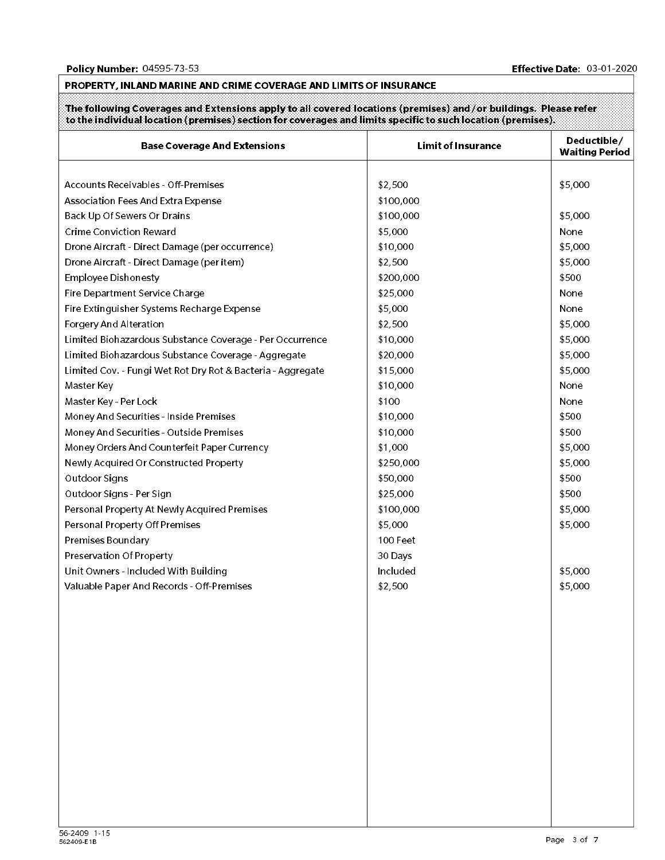#### PROPERTY, INLAND MARINE AND CRIME COVERAGE AND LIMITS OF INSURANCE

The following Coverages and Extensions apply to all covered locations (premises) and/or buildings. Please refer to the individual location (premises) section for coverages and limits specific to such location (premises).

| <b>Base Coverage And Extensions</b>                         | <b>Limit of Insurance</b> | Deductible/<br><b>Waiting Period</b> |
|-------------------------------------------------------------|---------------------------|--------------------------------------|
|                                                             |                           |                                      |
| Accounts Receivables - Off-Premises                         | \$2,500                   | \$5,000                              |
| Association Fees And Extra Expense                          | \$100,000                 |                                      |
| Back Up Of Sewers Or Drains                                 | \$100,000                 | \$5,000                              |
| <b>Crime Conviction Reward</b>                              | \$5,000                   | None                                 |
| Drone Aircraft - Direct Damage (per occurrence)             | \$10,000                  | \$5,000                              |
| Drone Aircraft - Direct Damage (per item)                   | \$2,500                   | \$5,000                              |
| <b>Employee Dishonesty</b>                                  | \$200,000                 | \$500                                |
| Fire Department Service Charge                              | \$25,000                  | None                                 |
| Fire Extinguisher Systems Recharge Expense                  | \$5,000                   | None                                 |
| Forgery And Alteration                                      | \$2,500                   | \$5,000                              |
| Limited Biohazardous Substance Coverage - Per Occurrence    | \$10,000                  | \$5,000                              |
| Limited Biohazardous Substance Coverage - Aggregate         | \$20,000                  | \$5,000                              |
| Limited Cov. - Fungi Wet Rot Dry Rot & Bacteria - Aggregate | \$15,000                  | \$5,000                              |
| Master Key                                                  | \$10,000                  | None                                 |
| Master Key - Per Lock                                       | \$100                     | None                                 |
| Money And Securities - Inside Premises                      | \$10,000                  | \$500                                |
| Money And Securities - Outside Premises                     | \$10,000                  | \$500                                |
| Money Orders And Counterfeit Paper Currency                 | \$1,000                   | \$5,000                              |
| Newly Acquired Or Constructed Property                      | \$250,000                 | \$5,000                              |
| Outdoor Signs                                               | \$50,000                  | \$500                                |
| Outdoor Signs - Per Sign                                    | \$25,000                  | \$500                                |
| Personal Property At Newly Acquired Premises                | \$100,000                 | \$5,000                              |
| Personal Property Off Premises                              | \$5,000                   | \$5,000                              |
| Premises Boundary                                           | 100 Feet                  |                                      |
| Preservation Of Property                                    | 30 Days                   |                                      |
| Unit Owners - Included With Building                        | Included                  | \$5,000                              |
| Valuable Paper And Records - Off-Premises                   | \$2,500                   | \$5,000                              |
|                                                             |                           |                                      |
|                                                             |                           |                                      |
|                                                             |                           |                                      |
|                                                             |                           |                                      |
|                                                             |                           |                                      |
|                                                             |                           |                                      |
|                                                             |                           |                                      |
|                                                             |                           |                                      |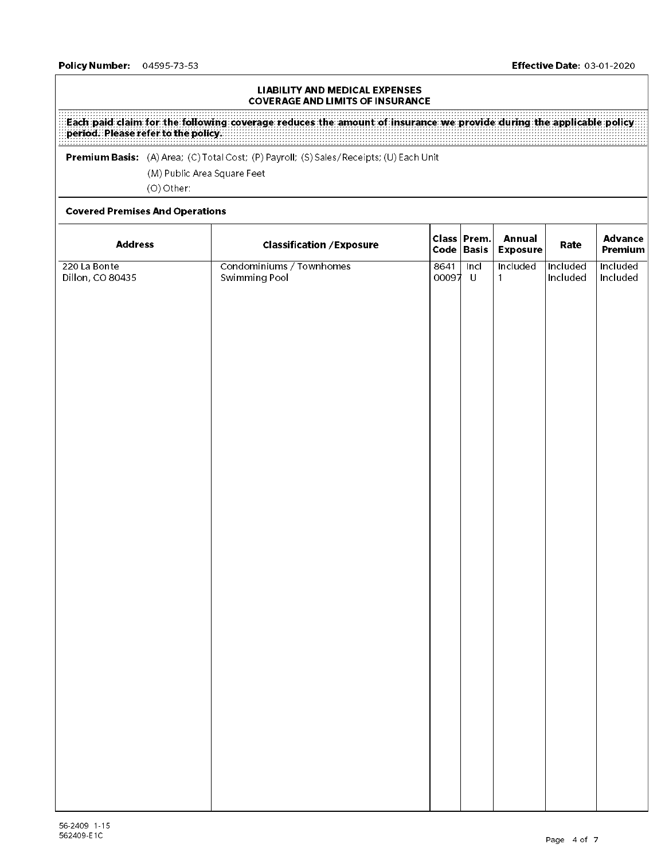#### LIABILITY AND MEDICAL EXPENSES COVERAGE AND LIMITS OF INSURANCE

Each paid claim for the following coverage reduces the amount of insurance we provide during the applicable policy period. Please refer to the policy.

 $\mathcal{P}$  . The minimum Basis: (A)  $\mathcal{P}$  are as  $\mathcal{P}$  are controlled by  $\mathcal{P}$  . The costs of  $\mathcal{P}$  and  $\mathcal{P}$  are controlled by  $\mathcal{P}$  and  $\mathcal{P}$  are controlled by  $\mathcal{P}$  and  $\mathcal{P}$  are controlled by (M) Public Area Square Feet (O) Other:

#### Covered Premises And Operations

| <b>Address</b>                   | <b>Classification / Exposure</b>          | Code   Basis  | Class Prem.     | <b>Annual</b><br><b>Exposure</b> | Rate                 | <b>Advance</b><br>Premium |
|----------------------------------|-------------------------------------------|---------------|-----------------|----------------------------------|----------------------|---------------------------|
| 220 La Bonte<br>Dillon, CO 80435 | Condominiums / Townhomes<br>Swimming Pool | 8641<br>00097 | ln c<br>$\sf U$ | Included<br>$\mathbf{1}$         | Included<br>Included | Included<br>Included      |
|                                  |                                           |               |                 |                                  |                      |                           |
|                                  |                                           |               |                 |                                  |                      |                           |
|                                  |                                           |               |                 |                                  |                      |                           |
|                                  |                                           |               |                 |                                  |                      |                           |
|                                  |                                           |               |                 |                                  |                      |                           |
|                                  |                                           |               |                 |                                  |                      |                           |
|                                  |                                           |               |                 |                                  |                      |                           |
|                                  |                                           |               |                 |                                  |                      |                           |
|                                  |                                           |               |                 |                                  |                      |                           |
|                                  |                                           |               |                 |                                  |                      |                           |
|                                  |                                           |               |                 |                                  |                      |                           |
|                                  |                                           |               |                 |                                  |                      |                           |
|                                  |                                           |               |                 |                                  |                      |                           |
|                                  |                                           |               |                 |                                  |                      |                           |
|                                  |                                           |               |                 |                                  |                      |                           |
|                                  |                                           |               |                 |                                  |                      |                           |
|                                  |                                           |               |                 |                                  |                      |                           |
|                                  |                                           |               |                 |                                  |                      |                           |
|                                  |                                           |               |                 |                                  |                      |                           |
|                                  |                                           |               |                 |                                  |                      |                           |
|                                  |                                           |               |                 |                                  |                      |                           |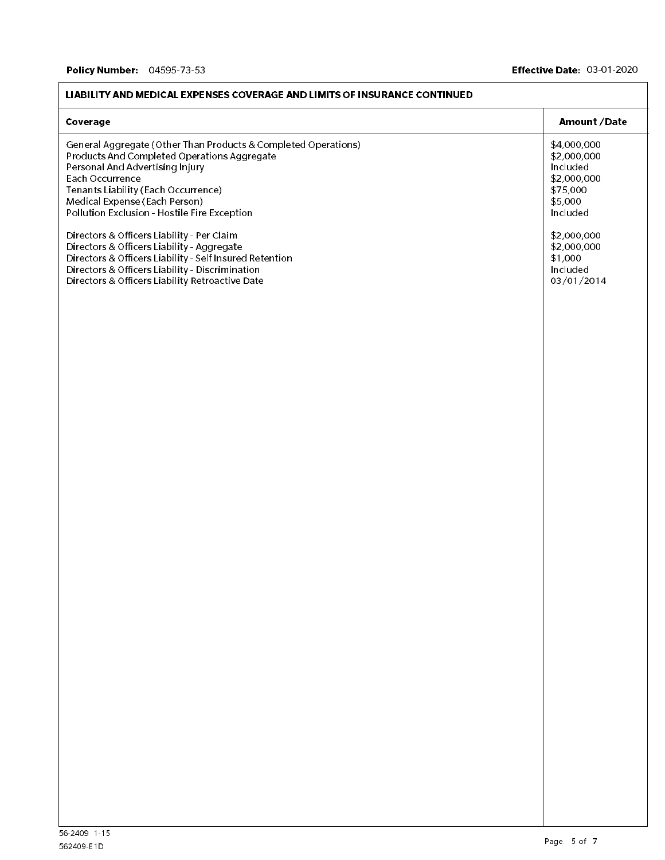| Coverage                                                                                                                                                                                                                                                                                    | Amount / Date                                                                            |
|---------------------------------------------------------------------------------------------------------------------------------------------------------------------------------------------------------------------------------------------------------------------------------------------|------------------------------------------------------------------------------------------|
| General Aggregate (Other Than Products & Completed Operations)<br>Products And Completed Operations Aggregate<br>Personal And Advertising Injury<br>Each Occurrence<br>Tenants Liability (Each Occurrence)<br>Medical Expense (Each Person)<br>Pollution Exclusion - Hostile Fire Exception | \$4,000,000<br>\$2,000,000<br>Included<br>\$2,000,000<br>\$75,000<br>\$5,000<br>Included |
| Directors & Officers Liability - Per Claim<br>Directors & Officers Liability - Aggregate<br>Directors & Officers Liability - Self Insured Retention<br>Directors & Officers Liability - Discrimination<br>Directors & Officers Liability Retroactive Date                                   | \$2,000,000<br>\$2,000,000<br>\$1,000<br>Included<br>03/01/2014                          |
|                                                                                                                                                                                                                                                                                             |                                                                                          |
|                                                                                                                                                                                                                                                                                             |                                                                                          |
|                                                                                                                                                                                                                                                                                             |                                                                                          |
|                                                                                                                                                                                                                                                                                             |                                                                                          |
|                                                                                                                                                                                                                                                                                             |                                                                                          |
|                                                                                                                                                                                                                                                                                             |                                                                                          |

#### LIABILITY AND MEDICAL EXPENSES COVERAGE AND LIMITS OF INSURANCE CONTINUED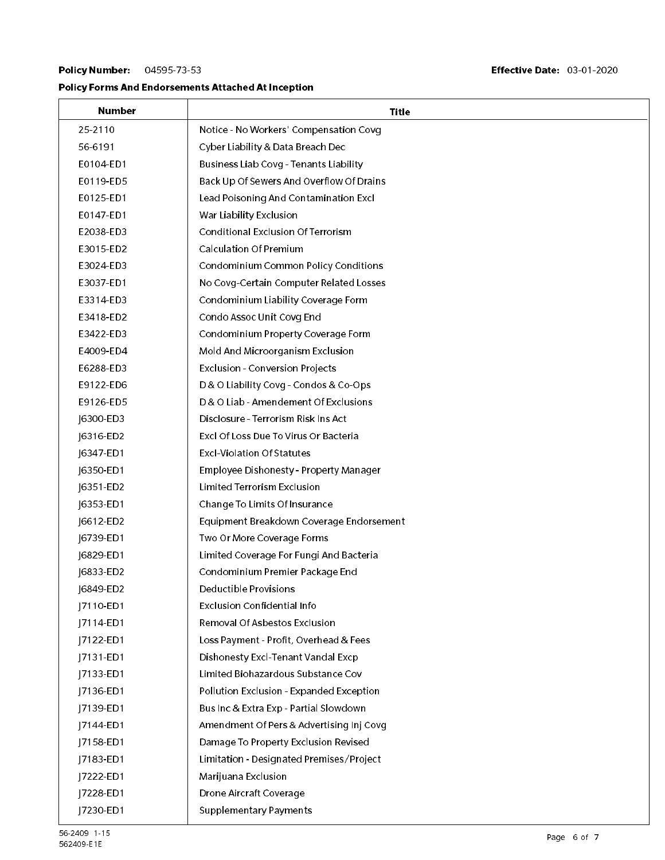## Policy Number: 04595-73-53

## Policy Forms And Endorsements Attached At Inception

| Number    | Title                                     |
|-----------|-------------------------------------------|
| 25-2110   | Notice - No Workers' Compensation Covg    |
| 56-6191   | Cyber Liability & Data Breach Dec         |
| E0104-ED1 | Business Liab Covg - Tenants Liability    |
| E0119-ED5 | Back Up Of Sewers And Overflow Of Drains  |
| E0125-ED1 | Lead Poisoning And Contamination Excl     |
| E0147-ED1 | War Liability Exclusion                   |
| E2038-ED3 | <b>Conditional Exclusion Of Terrorism</b> |
| E3015-ED2 | <b>Calculation Of Premium</b>             |
| E3024-ED3 | Condominium Common Policy Conditions      |
| E3037-ED1 | No Covg-Certain Computer Related Losses   |
| E3314-ED3 | Condominium Liability Coverage Form       |
| E3418-ED2 | Condo Assoc Unit Covg End                 |
| E3422-ED3 | Condominium Property Coverage Form        |
| E4009-ED4 | Mold And Microorganism Exclusion          |
| E6288 ED3 | Exclusion - Conversion Projects           |
| E9122-ED6 | D & O Liability Covg - Condos & Co-Ops    |
| E9126-ED5 | D & O Liab - Amendement Of Exclusions     |
| J6300-ED3 | Disclosure - Terrorism Risk Ins Act       |
| J6316-ED2 | Excl Of Loss Due To Virus Or Bacteria     |
| J6347-ED1 | <b>Excl-Violation Of Statutes</b>         |
| J6350-ED1 | Employee Dishonesty - Property Manager    |
| J6351-ED2 | <b>Limited Terrorism Exclusion</b>        |
| J6353-ED1 | Change To Limits Of Insurance             |
| J6612-ED2 | Equipment Breakdown Coverage Endorsement  |
| J6739-ED1 | Two Or More Coverage Forms                |
| J6829-ED1 | Limited Coverage For Fungi And Bacteria   |
| J6833-ED2 | Condominium Premier Package End           |
| J6849-ED2 | Deductible Provisions                     |
| J7110-ED1 | Exclusion Confidential Info               |
| J7114-ED1 | Removal Of Asbestos Exclusion             |
| J7122-ED1 | Loss Payment - Profit, Overhead & Fees    |
| J7131-ED1 | Dishonesty Excl-Tenant Vandal Excp        |
| J7133-ED1 | Limited Biohazardous Substance Cov        |
| J7136-ED1 | Pollution Exclusion - Expanded Exception  |
| J7139-ED1 | Bus Inc & Extra Exp - Partial Slowdown    |
| J7144-ED1 | Amendment Of Pers & Advertising Inj Covg  |
| J7158-ED1 | Damage To Property Exclusion Revised      |
| J7183-ED1 | Limitation - Designated Premises/Project  |
| 7222-ED1  | Marijuana Exclusion                       |
| J7228-ED1 | Drone Aircraft Coverage                   |
| J7230-ED1 | <b>Supplementary Payments</b>             |